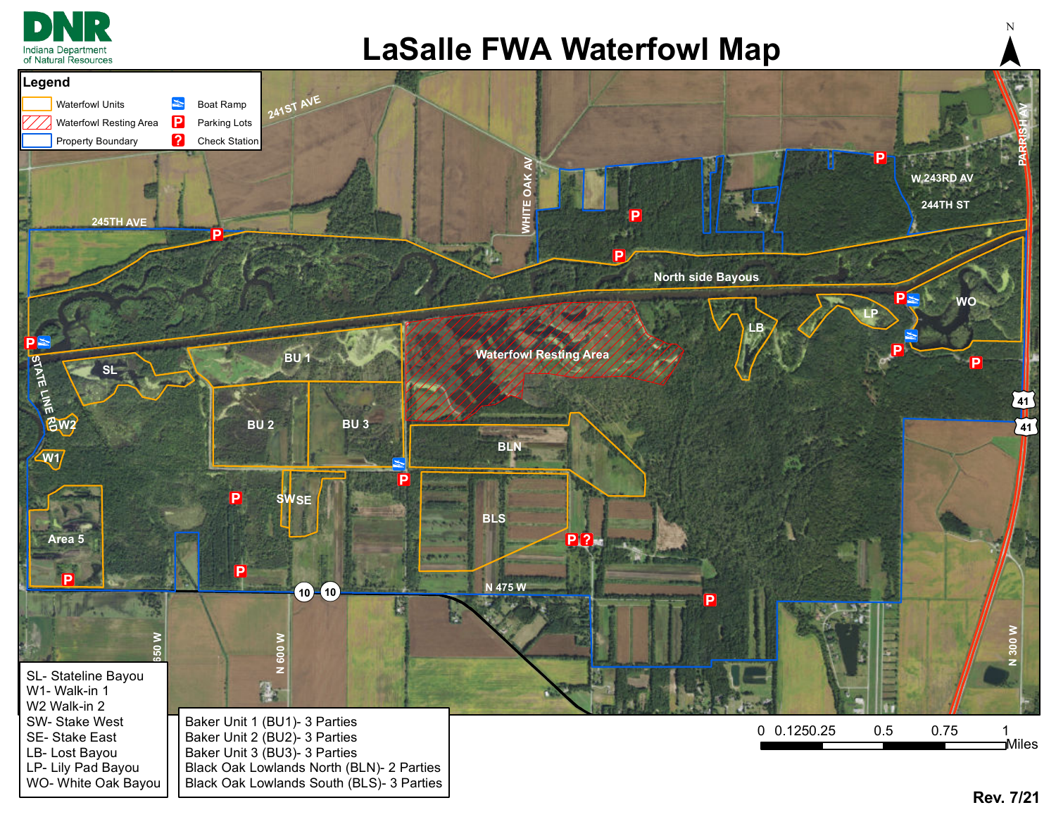

## **LaSalle FWA Waterfowl Map**